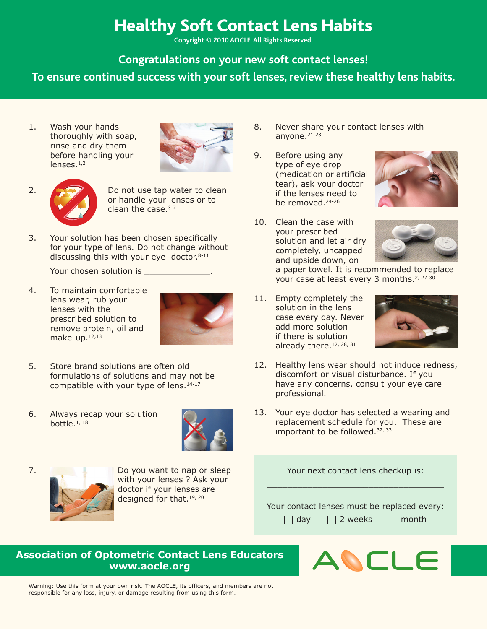## Healthy Soft Contact Lens Habits

**Copyright © 2010 AOCLE. All Rights Reserved.** 

**Congratulations on your new soft contact lenses!** 

**To ensure continued success with your soft lenses, review these healthy lens habits.**

1. Wash your hands thoroughly with soap, rinse and dry them before handling your  $l$ enses. $1,2$ 



2.  $\bigcirc$  Do not use tap water to clean or handle your lenses or to clean the case.<sup>3-7</sup>

3. Your solution has been chosen specifically for your type of lens. Do not change without discussing this with your eye doctor. $8-11$ 

Your chosen solution is \_\_\_\_\_\_\_\_\_\_\_\_\_.

4. To maintain comfortable lens wear, rub your lenses with the prescribed solution to remove protein, oil and make-up.12,13



- 5. Store brand solutions are often old formulations of solutions and may not be compatible with your type of lens.14-17
- 6. Always recap your solution bottle.1, 18





7. Do you want to nap or sleep with your lenses ? Ask your doctor if your lenses are designed for that.19, 20

- 8. Never share your contact lenses with anyone.<sup>21-23</sup>
- 9. Before using any type of eye drop (medication or artificial tear), ask your doctor if the lenses need to be removed.<sup>24-26</sup>



10. Clean the case with your prescribed solution and let air dry completely, uncapped and upside down, on



a paper towel. It is recommended to replace your case at least every 3 months.<sup>2, 27-30</sup>

11. Empty completely the solution in the lens case every day. Never add more solution if there is solution already there.<sup>12, 28, 31</sup>



- 12. Healthy lens wear should not induce redness, discomfort or visual disturbance. If you have any concerns, consult your eye care professional.
- 13. Your eye doctor has selected a wearing and replacement schedule for you. These are important to be followed.<sup>32, 33</sup>

Your next contact lens checkup is: \_\_\_\_\_\_\_\_\_\_\_\_\_\_\_\_\_\_\_\_\_\_\_\_\_\_\_\_\_\_\_\_\_\_\_

Your contact lenses must be replaced every:

 $\Box$  day  $\Box$  2 weeks  $\Box$  month

## **Association of Optometric Contact Lens Educators www.aocle.org**



Warning: Use this form at your own risk. The AOCLE, its officers, and members are not responsible for any loss, injury, or damage resulting from using this form.